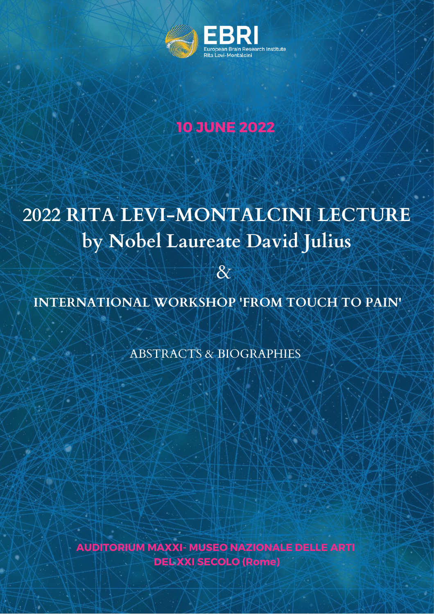

# **10 JUNE 2022**

# **2022 RITA LEVI-MONTALCINI LECTURE by Nobel Laureate David Julius**

**INTERNATIONAL WORKSHOP 'FROM TOUCH TO PAIN'**

&

ABSTRACTS & BIOGRAPHIES

**AUDITORIUM MAXXI- MUSEO NAZIONALE DELLE ARTI DEL XXI SECOLO (Rome)**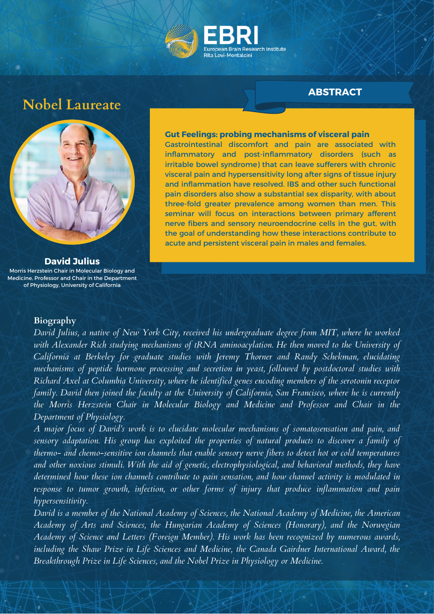

## **Nobel Laureate**



**David Julius** Morris Herzstein Chair in Molecular Biology and Medicine, Professor and Chair in the Department of Physiology, University of California

#### **Gut Feelings: probing mechanisms of visceral pain**

Gastrointestinal discomfort and pain are associated with inflammatory and post-inflammatory disorders (such as irritable bowel syndrome) that can leave sufferers with chronic visceral pain and hypersensitivity long after signs of tissue injury and inflammation have resolved. IBS and other such functional pain disorders also show a substantial sex disparity, with about three-fold greater prevalence among women than men. This seminar will focus on interactions between primary afferent nerve fibers and sensory neuroendocrine cells in the gut, with the goal of understanding how these interactions contribute to acute and persistent visceral pain in males and females.

#### **Biography**

*David Julius, a native of New York City, received his undergraduate degree from MIT, where he worked with Alexander Rich studying mechanisms of tRNA aminoacylation. He then moved to the University of California at Berkeley for graduate studies with Jeremy Thorner and Randy Schekman, elucidating mechanisms of peptide hormone processing and secretion in yeast, followed by postdoctoral studies with Richard Axel at Columbia University, where he identified genes encoding members of the serotonin receptor family. David then joined the faculty at the University of California, San Francisco, where he is currently the Morris Herzstein Chair in Molecular Biology and Medicine and Professor and Chair in the Department of Physiology.*

*A major focus of David's work is to elucidate molecular mechanisms of somatosensation and pain, and sensory adaptation. His group has exploited the properties of natural products to discover a family of thermo- and chemo-sensitive ion channels that enable sensory nerve fibers to detect hot or cold temperatures and other noxious stimuli. With the aid of genetic, electrophysiological, and behavioral methods, they have determined how these ion channels contribute to pain sensation, and how channel activity is modulated in response to tumor growth, infection, or other forms of injury that produce inflammation and pain hypersensitivity.*

*David is a member of the National Academy of Sciences, the National Academy of Medicine, the American Academy of Arts and Sciences, the Hungarian Academy of Sciences (Honorary), and the Norwegian Academy of Science and Letters (Foreign Member). His work has been recognized by numerous awards, including the Shaw Prize in Life Sciences and Medicine, the Canada Gairdner International Award, the Breakthrough Prize in Life Sciences, and the Nobel Prize in Physiology or Medicine.*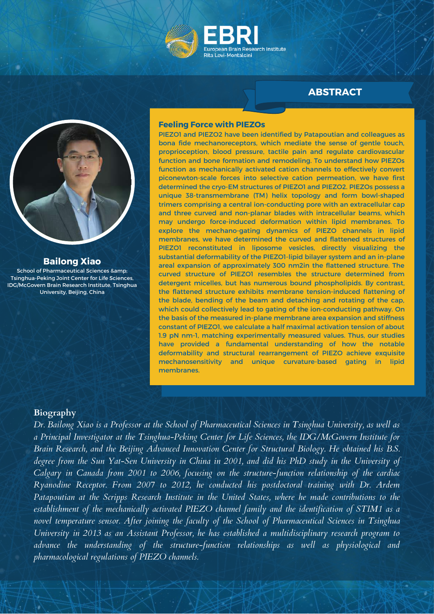



#### **Bailong Xiao**

School of Pharmaceutical Sciences & Tsinghua-Peking Joint Center for Life Sciences, IDG/McGovern Brain Research Institute, Tsinghua University, Beijing, China

#### **Feeling Force with PIEZOs**

PIEZO1 and PIEZO2 have been identified by Patapoutian and colleagues as bona fide mechanoreceptors, which mediate the sense of gentle touch, proprioception, blood pressure, tactile pain and regulate cardiovascular function and bone formation and remodeling. To understand how PIEZOs function as mechanically activated cation channels to effectively convert piconewton-scale forces into selective cation permeation, we have first determined the cryo-EM structures of PIEZO1 and PIEZO2. PIEZOs possess a unique 38-transmembrane (TM) helix topology and form bowl-shaped trimers comprising a central ion-conducting pore with an extracellular cap and three curved and non-planar blades with intracellular beams, which may undergo force-induced deformation within lipid membranes. To explore the mechano-gating dynamics of PIEZO channels in lipid membranes, we have determined the curved and flattened structures of PIEZO1 reconstituted in liposome vesicles, directly visualizing the substantial deformability of the PIEZO1-lipid bilayer system and an in-plane areal expansion of approximately 300 nm2in the flattened structure. The curved structure of PIEZO1 resembles the structure determined from detergent micelles, but has numerous bound phospholipids. By contrast, the flattened structure exhibits membrane tension-induced flattening of the blade, bending of the beam and detaching and rotating of the cap, which could collectively lead to gating of the ion-conducting pathway. On the basis of the measured in-plane membrane area expansion and stiffness constant of PIEZO1, we calculate a half maximal activation tension of about 1.9 pN nm-1, matching experimentally measured values. Thus, our studies have provided a fundamental understanding of how the notable deformability and structural rearrangement of PIEZO achieve exquisite mechanosensitivity and unique curvature-based gating in lipid membranes.

#### **Biography**

Dr. Bailong Xiao is a Professor at the School of Pharmaceutical Sciences in Tsinghua University, as well as *a Principal Investigator at the Tsinghua-Peking Center for Life Sciences, the IDG/McGovern Institute for Brain Research, and the Beijing Advanced Innovation Center for Structural Biology. He obtained his B.S.* degree from the Sun Yat-Sen University in China in 2001, and did his PhD study in the University of *Calgary in Canada from 2001 to 2006, focusing on the structure-function relationship of the cardiac Ryanodine Receptor. From 2007 to 2012, he conducted his postdoctoral training with Dr. Ardem Patapoutian at the Scripps Research Institute in the United States, where he made contributions to the establishment of the mechanically activated PIEZO channel family and the identification of STIM1 as a novel temperature sensor. After joining the faculty of the School of Pharmaceutical Sciences in Tsinghua University in 2013 as an Assistant Professor, he has established a multidisciplinary research program to advance the understanding of the structure-function relationships as well as physiological and pharmacological regulations of PIEZO channels.*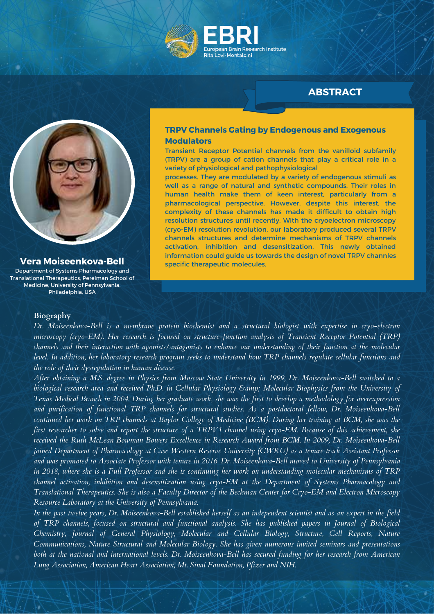



**Vera Moiseenkova-Bell** Department of Systems Pharmacology and

Translational Therapeutics, Perelman School of Medicine, University of Pennsylvania, Philadelphia, USA

#### **TRPV Channels Gating by Endogenous and Exogenous Modulators**

Transient Receptor Potential channels from the vanilloid subfamily (TRPV) are a group of cation channels that play a critical role in a variety of physiological and pathophysiological

processes. They are modulated by a variety of endogenous stimuli as well as a range of natural and synthetic compounds. Their roles in human health make them of keen interest, particularly from a pharmacological perspective. However, despite this interest, the complexity of these channels has made it difficult to obtain high resolution structures until recently. With the cryoelectron microscopy (cryo-EM) resolution revolution, our laboratory produced several TRPV channels structures and determine mechanisms of TRPV channels activation, inhibition and desensitization. This newly obtained information could guide us towards the design of novel TRPV channles specific therapeutic molecules.

#### **Biography**

*Dr. Moiseenkova-Bell is a membrane protein biochemist and a structural biologist with expertise in cryo-electron microscopy (cryo-EM). Her research is focused on structure-function analysis of Transient Receptor Potential (TRP) channels and their interaction with agonists/antagonists to enhance our understanding of their function at the molecular level. In addition, her laboratory research program seeks to understand how TRP channels regulate cellular functions and the role of their dysregulation in human disease.*

*After obtaining a M.S. degree in Physics from Moscow State University in 1999, Dr. Moiseenkova-Bell switched to a* biological research area and received Ph.D. in Cellular Physiology & amp; Molecular Biophysics from the University of *Texas Medical Branch in 2004. During her graduate work, she was the first to develop a methodology for overexpression and purification of functional TRP channels for structural studies. As a postdoctoral fellow, Dr. Moiseenkova-Bell continued her work on TRP channels at Baylor College of Medicine (BCM). During her training at BCM, she was the first researcher to solve and report the structure of a TRPV1 channel using cryo-EM. Because of this achievement, she received the Ruth McLean Bowman Bowers Excellence in Research Award from BCM. In 2009, Dr. Moiseenkova-Bell joined Department of Pharmacology at Case Western Reserve University (CWRU) as a tenure track Assistant Professor and was promoted to Associate Professor with tenure in 2016. Dr. Moiseenkova-Bell moved to University of Pennsylvania in 2018, where she is a Full Professor and she is continuing her work on understanding molecular mechanisms of TRP channel activation, inhibition and desensitization using cryo-EM at the Department of Systems Pharmacology and Translational Therapeutics. She is also a Faculty Director of the Beckman Center for Cryo-EM and Electron Microscopy Resource Laboratory at the University of Pennsylvania.*

*In the past twelve years, Dr. Moiseenkova-Bell established herself as an independent scientist and as an expert in the field of TRP channels, focused on structural and functional analysis. She has published papers in Journal of Biological Chemistry, Journal of General Physiology, Molecular and Cellular Biology, Structure, Cell Reports, Nature Communications, Nature Structural and Molecular Biology. She has given numerous invited seminars and presentations both at the national and international levels. Dr. Moiseenkova-Bell has secured funding for her research from American Lung Association, American Heart Association, Mt. Sinai Foundation, Pfizer and NIH.*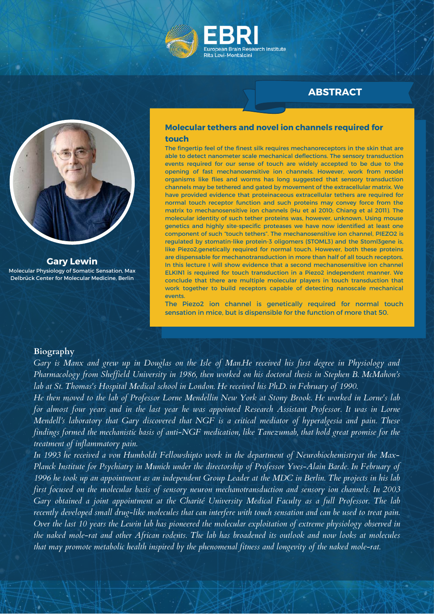



**Gary Lewin** Molecular Physiology of Somatic Sensation, Max Delbrück Center for Molecular Medicine, Berlin

#### **Molecular tethers and novel ion channels required for touch**

The fingertip feel of the finest silk requires mechanoreceptors in the skin that are able to detect nanometer scale mechanical deflections. The sensory transduction events required for our sense of touch are widely accepted to be due to the opening of fast mechanosensitive ion channels. However, work from model organisms like flies and worms has long suggested that sensory transduction channels may be tethered and gated by movement of the extracellular matrix. We have provided evidence that proteinaceous extracellular tethers are required for normal touch receptor function and such proteins may convey force from the matrix to mechanosensitive ion channels (Hu et al 2010; Chiang et al 2011). The molecular identity of such tether proteins was, however, unknown. Using mouse genetics and highly site-specific proteases we have now identified at least one component of such "touch tethers". The mechanosensitive ion channel, PIEZO2 is regulated by stomatin-like protein-3 oligomers (STOML3) and the Stoml3gene is, like Piezo2,genetically required for normal touch. However, both these proteins are dispensable for mechanotransduction in more than half of all touch receptors. In this lecture I will show evidence that a second mechanosensitive ion channel ELKIN1 is required for touch transduction in a Piezo2 independent manner. We conclude that there are multiple molecular players in touch transduction that work together to build receptors capable of detecting nanoscale mechanical events.

The Piezo2 ion channel is genetically required for normal touch sensation in mice, but is dispensible for the function of more that 50.

#### **Biography**

Gary is Manx and grew up in Douglas on the Isle of [Man.H](http://www.isle-of-man.com/)e received his first degree in Physiology and Pharmacology from Sheffield University in 1986, then worked on his doctoral thesis in Stephen B. McMahon's *lab at St. Thomas's Hospital Medical school in London. He received his Ph.D. in February of 1990.*

He then moved to the lab of [Professor](http://naples.cc.sunysb.edu/CAS/neuro.nsf/pages/mendell) Lorne Mendellin New York at Stony Brook. He worked in Lorne's lab for almost four years and in the last year he was appointed Research Assistant Professor. It was in Lorne *Mendell's laboratory that Gary discovered that NGF is a critical mediator of hyperalgesia and pain. These findings formed the mechanistic basis of anti-NGF medication, like Tanezumab, that hold great promise for the treatment of inflammatory pain.*

In 1993 he received a von Humboldt [Fellowshipt](http://www.humboldt-foundation.de/en/programme/index.htm)o work in the department of [Neurobiochemistry](http://www.neuro.mpg.de/english/index2.html)at the Max-*Planck Institute for Psychiatry in Munich under the directorship of Professor Yves-Alain Barde. In February of* 1996 he took up an appointment as an independent Group Leader at the MDC in Berlin. The projects in his lab *first focused on the molecular basis of sensory neuron mechanotransduction and sensory ion channels. In 2003 Gary obtained a joint appointment at the Charité University Medical Faculty as a full Professor. The lab* recently developed small drug-like molecules that can interfere with touch sensation and can be used to treat pain. Over the last 10 years the Lewin lab has pioneered the molecular exploitation of extreme physiology observed in the naked mole-rat and other African rodents. The lab has broadened its outlook and now looks at molecules *that may promote metabolic health inspired by the phenomenal fitness and longevity of the naked mole-rat.*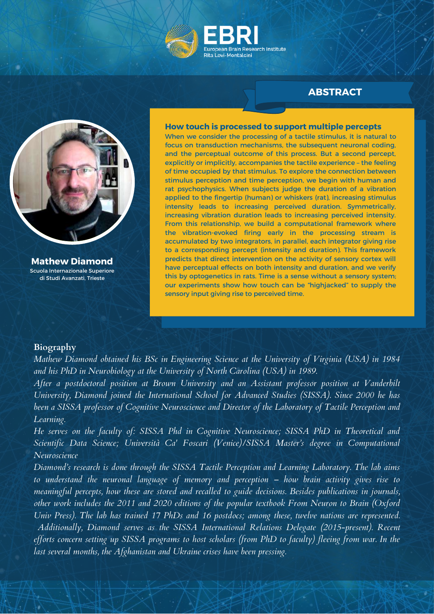



**Mathew Diamond** Scuola Internazionale Superiore di Studi Avanzati, Trieste

#### **How touch is processed to support multiple percepts**

When we consider the processing of a tactile stimulus, it is natural to focus on transduction mechanisms, the subsequent neuronal coding, and the perceptual outcome of this process. But a second percept, explicitly or implicitly, accompanies the tactile experience – the feeling of time occupied by that stimulus. To explore the connection between stimulus perception and time perception, we begin with human and rat psychophysics. When subjects judge the duration of a vibration applied to the fingertip (human) or whiskers (rat), increasing stimulus intensity leads to increasing perceived duration. Symmetrically, increasing vibration duration leads to increasing perceived intensity. From this relationship, we build a computational framework where the vibration-evoked firing early in the processing stream is accumulated by two integrators, in parallel, each integrator giving rise to a corresponding percept (intensity and duration). This framework predicts that direct intervention on the activity of sensory cortex will have perceptual effects on both intensity and duration, and we verify this by optogenetics in rats. Time is a sense without a sensory system; our experiments show how touch can be "highjacked" to supply the sensory input giving rise to perceived time.

#### **Biography**

*Mathew Diamond obtained his BSc in Engineering Science at the University of Virginia (USA) in 1984 and his PhD in Neurobiology at the University of North Carolina (USA) in 1989.*

*After a postdoctoral position at Brown University and an Assistant professor position at Vanderbilt University, Diamond joined the International School for Advanced Studies (SISSA). Since 2000 he has been a SISSA professor of Cognitive Neuroscience and Director of the Laboratory of Tactile Perception and Learning.*

*He serves on the faculty of: SISSA Phd in Cognitive Neuroscience; SISSA PhD in Theoretical and Scientific Data Science; Università Ca' Foscari (Venice)/SISSA Master's degree in Computational Neuroscience*

*Diamond's research is done through the SISSA Tactile Perception and Learning Laboratory. The lab aims to understand the neuronal language of memory and perception – how brain activity gives rise to meaningful percepts, how these are stored and recalled to guide decisions. Besides publications in journals, other work includes the 2011 and 2020 editions of the popular textbook From Neuron to Brain (Oxford Univ Press). The lab has trained 17 PhDs and 16 postdocs; among these, twelve nations are represented. Additionally, Diamond serves as the SISSA International Relations Delegate (2015-present). Recent* efforts concern setting up SISSA programs to host scholars (from PhD to faculty) fleeing from war. In the *last several months, the Afghanistan and Ukraine crises have been pressing.*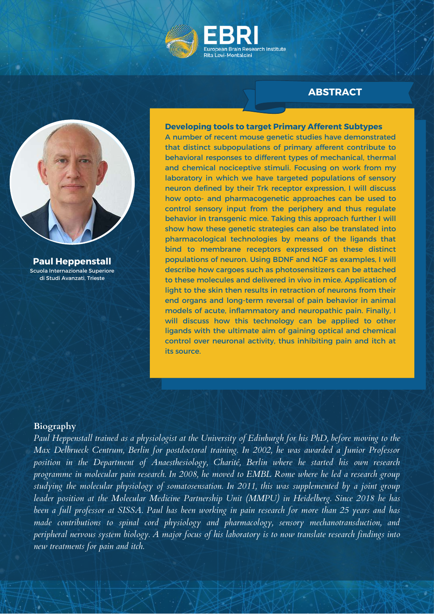



**Paul Heppenstall** Scuola Internazionale Superiore di Studi Avanzati, Trieste

#### **Developing tools to target Primary Afferent Subtypes**

A number of recent mouse genetic studies have demonstrated that distinct subpopulations of primary afferent contribute to behavioral responses to different types of mechanical, thermal and chemical nociceptive stimuli. Focusing on work from my laboratory in which we have targeted populations of sensory neuron defined by their Trk receptor expression, I will discuss how opto- and pharmacogenetic approaches can be used to control sensory input from the periphery and thus regulate behavior in transgenic mice. Taking this approach further I will show how these genetic strategies can also be translated into pharmacological technologies by means of the ligands that bind to membrane receptors expressed on these distinct populations of neuron. Using BDNF and NGF as examples, I will describe how cargoes such as photosensitizers can be attached to these molecules and delivered in vivo in mice. Application of light to the skin then results in retraction of neurons from their end organs and long-term reversal of pain behavior in animal models of acute, inflammatory and neuropathic pain. Finally, I will discuss how this technology can be applied to other ligands with the ultimate aim of gaining optical and chemical control over neuronal activity, thus inhibiting pain and itch at its source.

#### **Biography**

Paul Heppenstall trained as a physiologist at the University of Edinburgh for his PhD, before moving to the *Max Delbrueck Centrum, Berlin for postdoctoral training. In 2002, he was awarded a Junior Professor position in the Department of Anaesthesiology, Charité, Berlin where he started his own research programme in molecular pain research. In 2008, he moved to EMBL Rome where he led a research group studying the molecular physiology of somatosensation. In 2011, this was supplemented by a joint group leader position at the Molecular Medicine Partnership Unit (MMPU) in Heidelberg. Since 2018 he has* been a full professor at SISSA. Paul has been working in pain research for more than 25 years and has *made contributions to spinal cord physiology and pharmacology, sensory mechanotransduction, and* peripheral nervous system biology. A major focus of his laboratory is to now translate research findings into *new treatments for pain and itch.*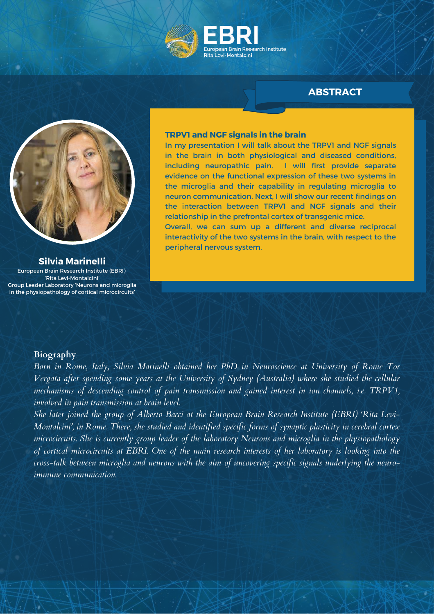



#### **Silvia Marinelli**

European Brain Research Institute (EBRI) 'Rita Levi-Montalcini' Group Leader Laboratory 'Neurons and microglia in the physiopathology of cortical microcircuits'

#### **TRPV1 and NGF signals in the brain**

In my presentation I will talk about the TRPV1 and NGF signals in the brain in both physiological and diseased conditions, including neuropathic pain. I will first provide separate evidence on the functional expression of these two systems in the microglia and their capability in regulating microglia to neuron communication. Next, I will show our recent findings on the interaction between TRPV1 and NGF signals and their relationship in the prefrontal cortex of transgenic mice. Overall, we can sum up a different and diverse reciprocal interactivity of the two systems in the brain, with respect to the peripheral nervous system.

#### **Biography**

*Born in Rome, Italy, Silvia Marinelli obtained her PhD in Neuroscience at University of Rome Tor Vergata after spending some years at the University of Sydney (Australia) where she studied the cellular mechanisms of descending control of pain transmission and gained interest in ion channels, i.e. TRPV1, involved in pain transmission at brain level.*

*She later joined the group of Alberto Bacci at the European Brain Research Institute (EBRI) 'Rita Levi-Montalcini', in Rome. There, she studied and identified specific forms of synaptic plasticity in cerebral cortex microcircuits. She is currently group leader of the laboratory Neurons and microglia in the physiopathology* of cortical microcircuits at EBRI. One of the main research interests of her laboratory is looking into the *cross-talk between microglia and neurons with the aim of uncovering specific signals underlying the neuroimmune communication.*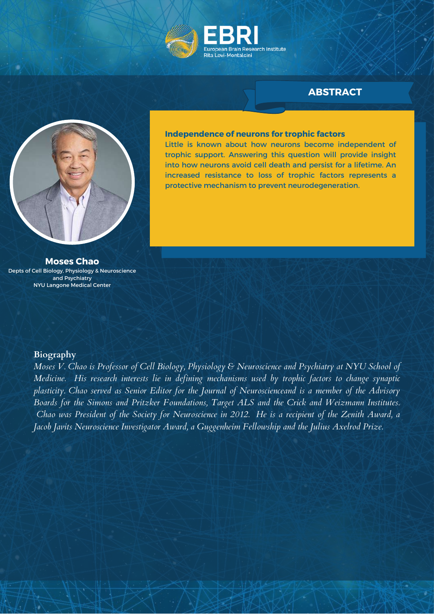



#### **Independence of neurons for trophic factors**

Little is known about how neurons become independent of trophic support. Answering this question will provide insight into how neurons avoid cell death and persist for a lifetime. An increased resistance to loss of trophic factors represents a protective mechanism to prevent neurodegeneration.

**Moses Chao** Depts of Cell Biology, Physiology & Neuroscience and Psychiatry NYU Langone Medical Center

#### **Biography**

*Moses V. Chao is Professor of Cell Biology, Physiology & Neuroscience and Psychiatry at NYU School of Medicine. His research interests lie in defining mechanisms used by trophic factors to change synaptic plasticity. Chao served as Senior Editor for the Journal of Neuroscienceand is a member of the Advisory Boards for the Simons and Pritzker Foundations, Target ALS and the Crick and Weizmann Institutes.* Chao was President of the Society for Neuroscience in 2012. He is a recipient of the Zenith Award, a *Jacob Javits Neuroscience Investigator Award, a Guggenheim Fellowship and the Julius Axelrod Prize.*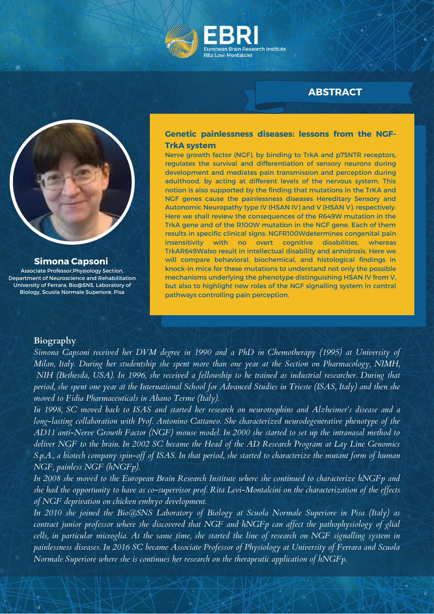



#### **Simona Capsoni**

Associate Professor,Physiology Section, Department of Neuroscience and Rehabilitation University of Ferrara; Bio@SNS, Laboratory of Biology, Scuola Normale Superiore, Pisa

#### **Genetic painlessness diseases: lessons from the NGF-TrkA system**

Nerve growth factor (NGF), by binding to TrkA and p75NTR receptors, regulates the survival and differentiation of sensory neurons during development and mediates pain transmission and perception during adulthood, by acting at different levels of the nervous system. This notion is also supported by the finding that mutations in the TrKA and NGF genes cause the painlessness diseases Hereditary Sensory and Autonomic Neuropathy type IV (HSAN IV) and V (HSAN V), respectively. Here we shall review the consequences of the R649W mutation in the TrkA gene and of the R100W mutation in the NGF gene. Each of them results in specific clinical signs: NGFR100Wdetermines congenital pain insensitivity with no overt cognitive disabilities, whereas TrkAR649Walso result in intellectual disability and anhidrosis. Here we will compare behavioral, biochemical, and histological findings in knock-in mice for these mutations to understand not only the possible mechanisms underlying the phenotype distinguishing HSAN IV from V, but also to highlight new roles of the NGF signalling system in central pathways controlling pain perception.

#### **Biography**

*Simona Capsoni received her DVM degree in 1990 and a PhD in Chemotherapy (1995) at University of Milan, Italy. During her studentship she spent more than one year at the Section on Pharmacology, NIMH,* NIH (Bethesda, USA). In 1996, she received a fellowship to be trained as industrial researcher. During that period, she spent one year at the International School for Advanced Studies in Trieste (ISAS, Italy) and then she *moved to Fidia Pharmaceuticals in Abano Terme (Italy).*

In 1998, SC moved back to ISAS and started her research on neurotrophins and Alzheimer's disease and a *long-lasting collaboration with Prof. Antonino Cattaneo. She characterized neurodegenerative phenotype of the* AD11 anti-Nerve Growth Factor (NGF) mouse model. In 2000 she started to set up the intranasal method to deliver NGF to the brain. In 2002 SC became the Head of the AD Research Program at Lay Line Genomics S.p.A., a biotech company spin-off of ISAS. In that period, she started to characterize the mutant form of human *NGF, painless NGF (hNGFp).*

*In 2008 she moved to the European Brain Research Institute where she continued to characterize hNGFp and* she had the opportunity to have as co-supervisor prof. Rita Levi-Montalcini on the characterization of the effects *of NGF deprivation on chicken embryo development.*

*In 2010 she joined the Bio@SNS Laboratory of Biology at Scuola Normale Superiore in Pisa (Italy) as contract junior professor where she discovered that NGF and hNGFp can af ect the pathophysiology of glial* cells, in particular microglia. At the same time, she started the line of research on NGF signalling system in *painlessness diseases. In 2016 SC became Associate Professor of Physiology at University of Ferrara and Scuola Normale Superiore where she is continues her research on the therapeutic application of hNGFp.*